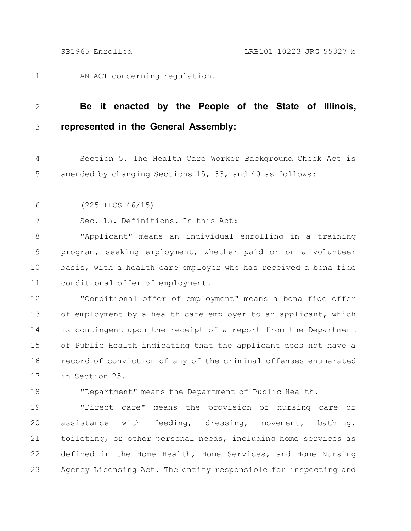AN ACT concerning regulation. 1

## **Be it enacted by the People of the State of Illinois, represented in the General Assembly:** 2 3

Section 5. The Health Care Worker Background Check Act is amended by changing Sections 15, 33, and 40 as follows: 4 5

(225 ILCS 46/15) 6

Sec. 15. Definitions. In this Act: 7

"Applicant" means an individual enrolling in a training program, seeking employment, whether paid or on a volunteer basis, with a health care employer who has received a bona fide conditional offer of employment. 8 9 10 11

"Conditional offer of employment" means a bona fide offer of employment by a health care employer to an applicant, which is contingent upon the receipt of a report from the Department of Public Health indicating that the applicant does not have a record of conviction of any of the criminal offenses enumerated in Section 25. 12 13 14 15 16 17

18

"Department" means the Department of Public Health.

"Direct care" means the provision of nursing care or assistance with feeding, dressing, movement, bathing, toileting, or other personal needs, including home services as defined in the Home Health, Home Services, and Home Nursing Agency Licensing Act. The entity responsible for inspecting and 19 20 21 22 23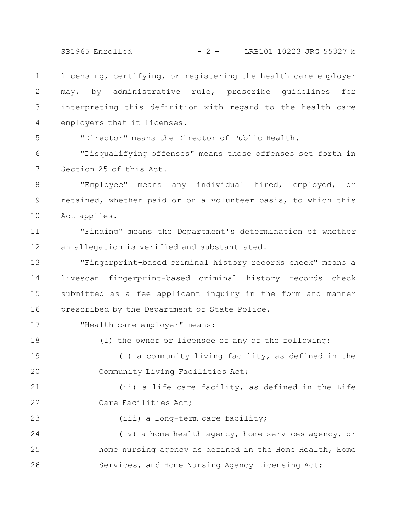SB1965 Enrolled - 2 - LRB101 10223 JRG 55327 b

licensing, certifying, or registering the health care employer may, by administrative rule, prescribe guidelines for interpreting this definition with regard to the health care employers that it licenses. 1 2 3 4

5

17

18

23

"Director" means the Director of Public Health.

"Disqualifying offenses" means those offenses set forth in Section 25 of this Act. 6 7

"Employee" means any individual hired, employed, or retained, whether paid or on a volunteer basis, to which this Act applies. 8 9 10

"Finding" means the Department's determination of whether an allegation is verified and substantiated. 11 12

"Fingerprint-based criminal history records check" means a livescan fingerprint-based criminal history records check submitted as a fee applicant inquiry in the form and manner prescribed by the Department of State Police. 13 14 15 16

"Health care employer" means:

(i) a community living facility, as defined in the Community Living Facilities Act; 19 20

(1) the owner or licensee of any of the following:

(ii) a life care facility, as defined in the Life Care Facilities Act; 21 22

(iii) a long-term care facility;

(iv) a home health agency, home services agency, or home nursing agency as defined in the Home Health, Home Services, and Home Nursing Agency Licensing Act; 24 25 26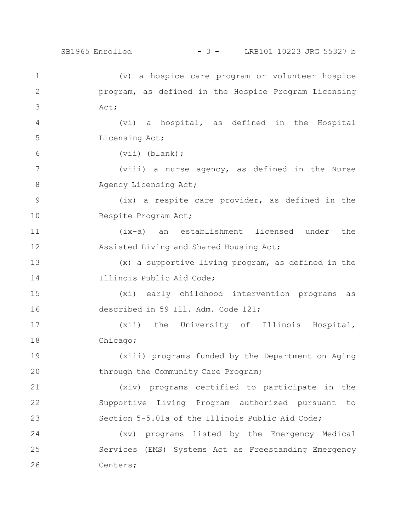(v) a hospice care program or volunteer hospice program, as defined in the Hospice Program Licensing Act; (vi) a hospital, as defined in the Hospital Licensing Act; (vii) (blank); (viii) a nurse agency, as defined in the Nurse Agency Licensing Act; (ix) a respite care provider, as defined in the Respite Program Act; (ix-a) an establishment licensed under the Assisted Living and Shared Housing Act; (x) a supportive living program, as defined in the Illinois Public Aid Code; (xi) early childhood intervention programs as described in 59 Ill. Adm. Code 121; (xii) the University of Illinois Hospital, Chicago; (xiii) programs funded by the Department on Aging through the Community Care Program; (xiv) programs certified to participate in the Supportive Living Program authorized pursuant to Section 5-5.01a of the Illinois Public Aid Code; (xv) programs listed by the Emergency Medical Services (EMS) Systems Act as Freestanding Emergency Centers; 1 2 3 4 5 6 7 8 9 10 11 12 13 14 15 16 17 18 19 20 21 22 23 24 25 26 SB1965 Enrolled - 3 - LRB101 10223 JRG 55327 b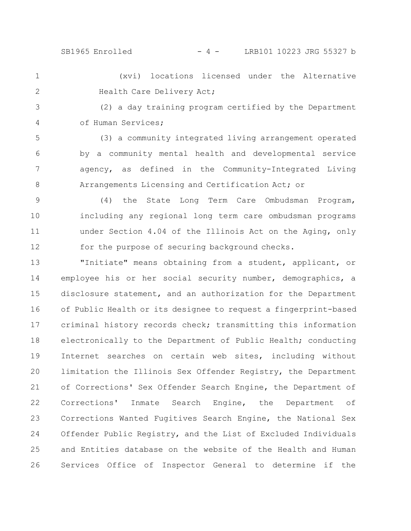SB1965 Enrolled - 4 - LRB101 10223 JRG 55327 b

(xvi) locations licensed under the Alternative Health Care Delivery Act; 1 2

(2) a day training program certified by the Department of Human Services; 3 4

(3) a community integrated living arrangement operated by a community mental health and developmental service agency, as defined in the Community-Integrated Living Arrangements Licensing and Certification Act; or 5 6 7 8

(4) the State Long Term Care Ombudsman Program, including any regional long term care ombudsman programs under Section 4.04 of the Illinois Act on the Aging, only for the purpose of securing background checks. 9 10 11 12

"Initiate" means obtaining from a student, applicant, or employee his or her social security number, demographics, a disclosure statement, and an authorization for the Department of Public Health or its designee to request a fingerprint-based criminal history records check; transmitting this information electronically to the Department of Public Health; conducting Internet searches on certain web sites, including without limitation the Illinois Sex Offender Registry, the Department of Corrections' Sex Offender Search Engine, the Department of Corrections' Inmate Search Engine, the Department of Corrections Wanted Fugitives Search Engine, the National Sex Offender Public Registry, and the List of Excluded Individuals and Entities database on the website of the Health and Human Services Office of Inspector General to determine if the 13 14 15 16 17 18 19 20 21 22 23 24 25 26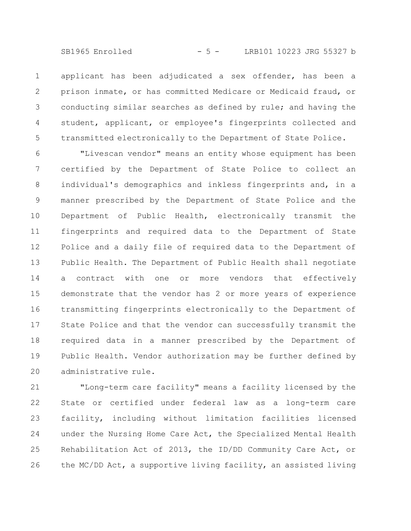SB1965 Enrolled - 5 - LRB101 10223 JRG 55327 b

applicant has been adjudicated a sex offender, has been a prison inmate, or has committed Medicare or Medicaid fraud, or conducting similar searches as defined by rule; and having the student, applicant, or employee's fingerprints collected and transmitted electronically to the Department of State Police. 1 2 3 4 5

"Livescan vendor" means an entity whose equipment has been certified by the Department of State Police to collect an individual's demographics and inkless fingerprints and, in a manner prescribed by the Department of State Police and the Department of Public Health, electronically transmit the fingerprints and required data to the Department of State Police and a daily file of required data to the Department of Public Health. The Department of Public Health shall negotiate a contract with one or more vendors that effectively demonstrate that the vendor has 2 or more years of experience transmitting fingerprints electronically to the Department of State Police and that the vendor can successfully transmit the required data in a manner prescribed by the Department of Public Health. Vendor authorization may be further defined by administrative rule. 6 7 8 9 10 11 12 13 14 15 16 17 18 19 20

"Long-term care facility" means a facility licensed by the State or certified under federal law as a long-term care facility, including without limitation facilities licensed under the Nursing Home Care Act, the Specialized Mental Health Rehabilitation Act of 2013, the ID/DD Community Care Act, or the MC/DD Act, a supportive living facility, an assisted living 21 22 23 24 25 26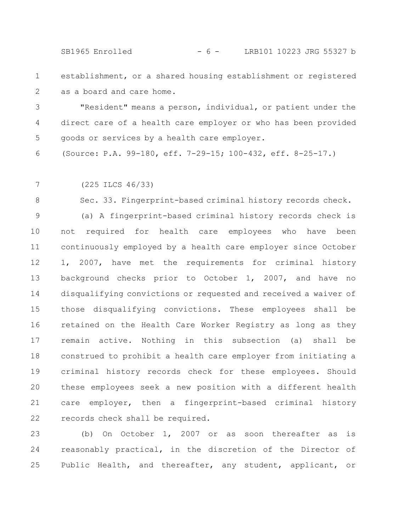SB1965 Enrolled - 6 - LRB101 10223 JRG 55327 b

establishment, or a shared housing establishment or registered as a board and care home. 1 2

"Resident" means a person, individual, or patient under the direct care of a health care employer or who has been provided goods or services by a health care employer. 3 4 5

(Source: P.A. 99-180, eff. 7-29-15; 100-432, eff. 8-25-17.) 6

(225 ILCS 46/33) 7

Sec. 33. Fingerprint-based criminal history records check. 8

(a) A fingerprint-based criminal history records check is not required for health care employees who have been continuously employed by a health care employer since October 1, 2007, have met the requirements for criminal history background checks prior to October 1, 2007, and have no disqualifying convictions or requested and received a waiver of those disqualifying convictions. These employees shall be retained on the Health Care Worker Registry as long as they remain active. Nothing in this subsection (a) shall be construed to prohibit a health care employer from initiating a criminal history records check for these employees. Should these employees seek a new position with a different health care employer, then a fingerprint-based criminal history records check shall be required. 9 10 11 12 13 14 15 16 17 18 19 20 21 22

(b) On October 1, 2007 or as soon thereafter as is reasonably practical, in the discretion of the Director of Public Health, and thereafter, any student, applicant, or 23 24 25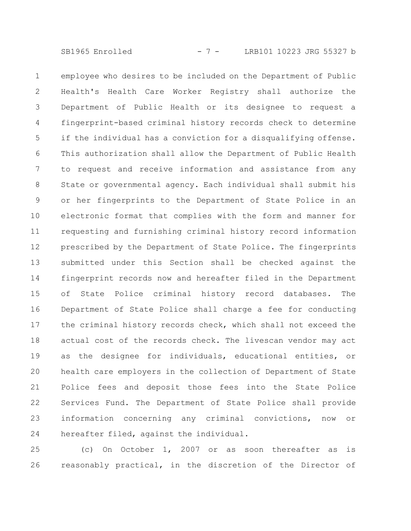SB1965 Enrolled - 7 - LRB101 10223 JRG 55327 b

employee who desires to be included on the Department of Public Health's Health Care Worker Registry shall authorize the Department of Public Health or its designee to request a fingerprint-based criminal history records check to determine if the individual has a conviction for a disqualifying offense. This authorization shall allow the Department of Public Health to request and receive information and assistance from any State or governmental agency. Each individual shall submit his or her fingerprints to the Department of State Police in an electronic format that complies with the form and manner for requesting and furnishing criminal history record information prescribed by the Department of State Police. The fingerprints submitted under this Section shall be checked against the fingerprint records now and hereafter filed in the Department of State Police criminal history record databases. The Department of State Police shall charge a fee for conducting the criminal history records check, which shall not exceed the actual cost of the records check. The livescan vendor may act as the designee for individuals, educational entities, or health care employers in the collection of Department of State Police fees and deposit those fees into the State Police Services Fund. The Department of State Police shall provide information concerning any criminal convictions, now or hereafter filed, against the individual. 1 2 3 4 5 6 7 8 9 10 11 12 13 14 15 16 17 18 19 20 21 22 23 24

(c) On October 1, 2007 or as soon thereafter as is reasonably practical, in the discretion of the Director of 25 26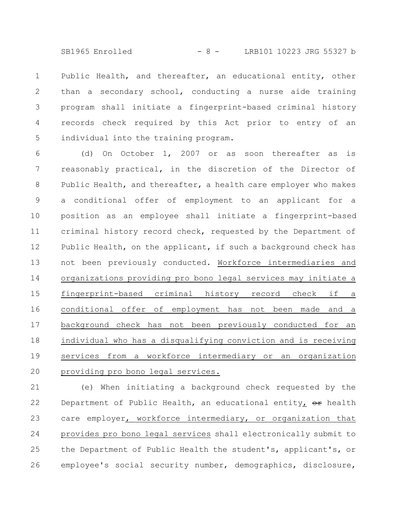SB1965 Enrolled - 8 - LRB101 10223 JRG 55327 b

Public Health, and thereafter, an educational entity, other than a secondary school, conducting a nurse aide training program shall initiate a fingerprint-based criminal history records check required by this Act prior to entry of an individual into the training program. 1 2 3 4 5

(d) On October 1, 2007 or as soon thereafter as is reasonably practical, in the discretion of the Director of Public Health, and thereafter, a health care employer who makes a conditional offer of employment to an applicant for a position as an employee shall initiate a fingerprint-based criminal history record check, requested by the Department of Public Health, on the applicant, if such a background check has not been previously conducted. Workforce intermediaries and organizations providing pro bono legal services may initiate a fingerprint-based criminal history record check if a conditional offer of employment has not been made and a background check has not been previously conducted for an individual who has a disqualifying conviction and is receiving services from a workforce intermediary or an organization providing pro bono legal services. 6 7 8 9 10 11 12 13 14 15 16 17 18 19 20

(e) When initiating a background check requested by the Department of Public Health, an educational entity,  $\Theta$ r health care employer, workforce intermediary, or organization that provides pro bono legal services shall electronically submit to the Department of Public Health the student's, applicant's, or employee's social security number, demographics, disclosure, 21 22 23 24 25 26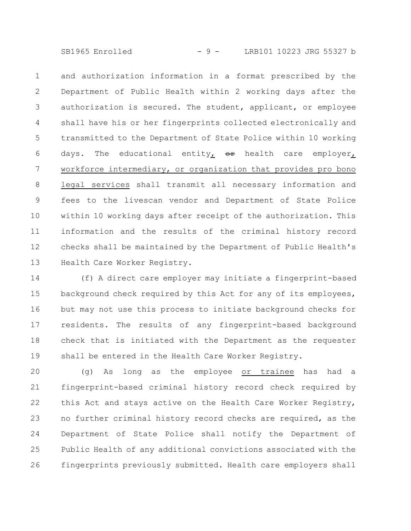SB1965 Enrolled - 9 - LRB101 10223 JRG 55327 b

and authorization information in a format prescribed by the Department of Public Health within 2 working days after the authorization is secured. The student, applicant, or employee shall have his or her fingerprints collected electronically and transmitted to the Department of State Police within 10 working days. The educational entity,  $\Theta$ <sup>+</sup> health care employer, workforce intermediary, or organization that provides pro bono legal services shall transmit all necessary information and fees to the livescan vendor and Department of State Police within 10 working days after receipt of the authorization. This information and the results of the criminal history record checks shall be maintained by the Department of Public Health's Health Care Worker Registry. 1 2 3 4 5 6 7 8 9 10 11 12 13

(f) A direct care employer may initiate a fingerprint-based background check required by this Act for any of its employees, but may not use this process to initiate background checks for residents. The results of any fingerprint-based background check that is initiated with the Department as the requester shall be entered in the Health Care Worker Registry. 14 15 16 17 18 19

(g) As long as the employee or trainee has had a fingerprint-based criminal history record check required by this Act and stays active on the Health Care Worker Registry, no further criminal history record checks are required, as the Department of State Police shall notify the Department of Public Health of any additional convictions associated with the fingerprints previously submitted. Health care employers shall 20 21 22 23 24 25 26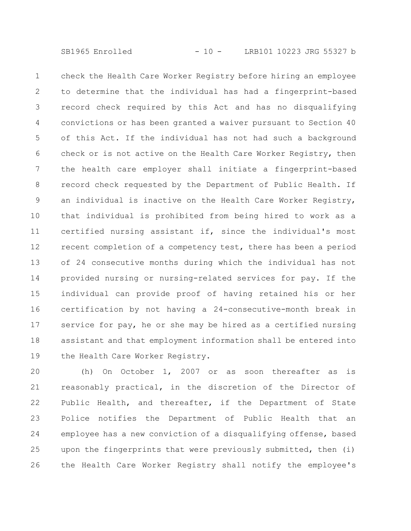check the Health Care Worker Registry before hiring an employee to determine that the individual has had a fingerprint-based record check required by this Act and has no disqualifying convictions or has been granted a waiver pursuant to Section 40 of this Act. If the individual has not had such a background check or is not active on the Health Care Worker Registry, then the health care employer shall initiate a fingerprint-based record check requested by the Department of Public Health. If an individual is inactive on the Health Care Worker Registry, that individual is prohibited from being hired to work as a certified nursing assistant if, since the individual's most recent completion of a competency test, there has been a period of 24 consecutive months during which the individual has not provided nursing or nursing-related services for pay. If the individual can provide proof of having retained his or her certification by not having a 24-consecutive-month break in service for pay, he or she may be hired as a certified nursing assistant and that employment information shall be entered into the Health Care Worker Registry. 1 2 3 4 5 6 7 8 9 10 11 12 13 14 15 16 17 18 19

(h) On October 1, 2007 or as soon thereafter as is reasonably practical, in the discretion of the Director of Public Health, and thereafter, if the Department of State Police notifies the Department of Public Health that an employee has a new conviction of a disqualifying offense, based upon the fingerprints that were previously submitted, then (i) the Health Care Worker Registry shall notify the employee's 20 21 22 23 24 25 26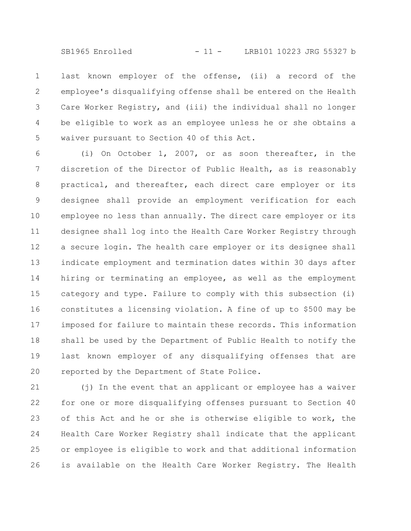SB1965 Enrolled - 11 - LRB101 10223 JRG 55327 b

last known employer of the offense, (ii) a record of the employee's disqualifying offense shall be entered on the Health Care Worker Registry, and (iii) the individual shall no longer be eligible to work as an employee unless he or she obtains a waiver pursuant to Section 40 of this Act. 1 2 3 4 5

(i) On October 1, 2007, or as soon thereafter, in the discretion of the Director of Public Health, as is reasonably practical, and thereafter, each direct care employer or its designee shall provide an employment verification for each employee no less than annually. The direct care employer or its designee shall log into the Health Care Worker Registry through a secure login. The health care employer or its designee shall indicate employment and termination dates within 30 days after hiring or terminating an employee, as well as the employment category and type. Failure to comply with this subsection (i) constitutes a licensing violation. A fine of up to \$500 may be imposed for failure to maintain these records. This information shall be used by the Department of Public Health to notify the last known employer of any disqualifying offenses that are reported by the Department of State Police. 6 7 8 9 10 11 12 13 14 15 16 17 18 19 20

(j) In the event that an applicant or employee has a waiver for one or more disqualifying offenses pursuant to Section 40 of this Act and he or she is otherwise eligible to work, the Health Care Worker Registry shall indicate that the applicant or employee is eligible to work and that additional information is available on the Health Care Worker Registry. The Health 21 22 23 24 25 26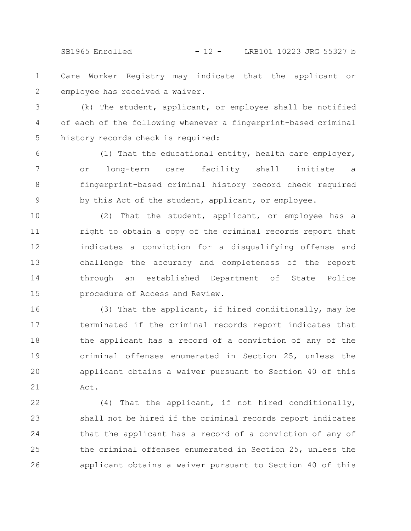SB1965 Enrolled - 12 - LRB101 10223 JRG 55327 b

Care Worker Registry may indicate that the applicant or employee has received a waiver. 1 2

(k) The student, applicant, or employee shall be notified of each of the following whenever a fingerprint-based criminal history records check is required: 3 4 5

(1) That the educational entity, health care employer, or long-term care facility shall initiate a fingerprint-based criminal history record check required by this Act of the student, applicant, or employee. 6 7 8 9

(2) That the student, applicant, or employee has a right to obtain a copy of the criminal records report that indicates a conviction for a disqualifying offense and challenge the accuracy and completeness of the report through an established Department of State Police procedure of Access and Review. 10 11 12 13 14 15

(3) That the applicant, if hired conditionally, may be terminated if the criminal records report indicates that the applicant has a record of a conviction of any of the criminal offenses enumerated in Section 25, unless the applicant obtains a waiver pursuant to Section 40 of this Act. 16 17 18 19 20 21

(4) That the applicant, if not hired conditionally, shall not be hired if the criminal records report indicates that the applicant has a record of a conviction of any of the criminal offenses enumerated in Section 25, unless the applicant obtains a waiver pursuant to Section 40 of this 22 23 24 25 26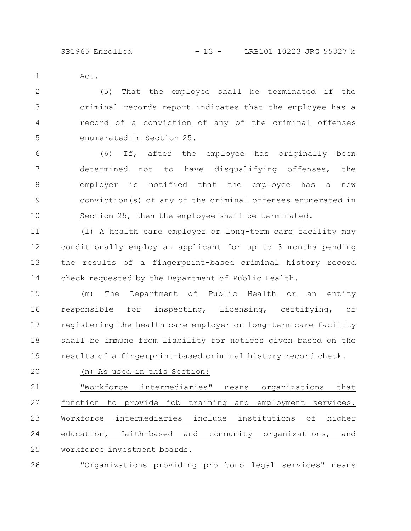Act.

1

(5) That the employee shall be terminated if the criminal records report indicates that the employee has a record of a conviction of any of the criminal offenses enumerated in Section 25. 2 3 4 5

(6) If, after the employee has originally been determined not to have disqualifying offenses, the employer is notified that the employee has a new conviction(s) of any of the criminal offenses enumerated in Section 25, then the employee shall be terminated. 6 7 8 9 10

(l) A health care employer or long-term care facility may conditionally employ an applicant for up to 3 months pending the results of a fingerprint-based criminal history record check requested by the Department of Public Health. 11 12 13 14

(m) The Department of Public Health or an entity responsible for inspecting, licensing, certifying, or registering the health care employer or long-term care facility shall be immune from liability for notices given based on the results of a fingerprint-based criminal history record check. 15 16 17 18 19

(n) As used in this Section: 20

"Workforce intermediaries" means organizations that function to provide job training and employment services. Workforce intermediaries include institutions of higher education, faith-based and community organizations, and workforce investment boards. 21 22 23 24 25

"Organizations providing pro bono legal services" means 26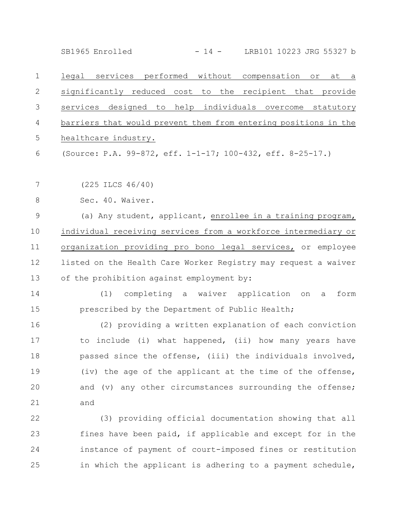SB1965 Enrolled - 14 - LRB101 10223 JRG 55327 b

legal services performed without compensation or at a significantly reduced cost to the recipient that provide services designed to help individuals overcome statutory barriers that would prevent them from entering positions in the healthcare industry. (Source: P.A. 99-872, eff. 1-1-17; 100-432, eff. 8-25-17.) (225 ILCS 46/40) Sec. 40. Waiver. 1 2 3 4 5 6 7 8

(a) Any student, applicant, enrollee in a training program, individual receiving services from a workforce intermediary or organization providing pro bono legal services, or employee listed on the Health Care Worker Registry may request a waiver of the prohibition against employment by: 9 10 11 12 13

(1) completing a waiver application on a form prescribed by the Department of Public Health; 14 15

(2) providing a written explanation of each conviction to include (i) what happened, (ii) how many years have passed since the offense, (iii) the individuals involved, (iv) the age of the applicant at the time of the offense, and (v) any other circumstances surrounding the offense; and 16 17 18 19 20 21

(3) providing official documentation showing that all fines have been paid, if applicable and except for in the instance of payment of court-imposed fines or restitution in which the applicant is adhering to a payment schedule, 22 23 24 25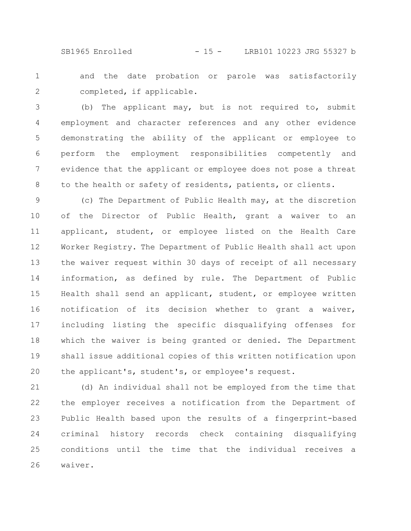SB1965 Enrolled - 15 - LRB101 10223 JRG 55327 b

and the date probation or parole was satisfactorily completed, if applicable. 1 2

(b) The applicant may, but is not required to, submit employment and character references and any other evidence demonstrating the ability of the applicant or employee to perform the employment responsibilities competently and evidence that the applicant or employee does not pose a threat to the health or safety of residents, patients, or clients. 3 4 5 6 7 8

(c) The Department of Public Health may, at the discretion of the Director of Public Health, grant a waiver to an applicant, student, or employee listed on the Health Care Worker Registry. The Department of Public Health shall act upon the waiver request within 30 days of receipt of all necessary information, as defined by rule. The Department of Public Health shall send an applicant, student, or employee written notification of its decision whether to grant a waiver, including listing the specific disqualifying offenses for which the waiver is being granted or denied. The Department shall issue additional copies of this written notification upon the applicant's, student's, or employee's request. 9 10 11 12 13 14 15 16 17 18 19 20

(d) An individual shall not be employed from the time that the employer receives a notification from the Department of Public Health based upon the results of a fingerprint-based criminal history records check containing disqualifying conditions until the time that the individual receives a waiver. 21 22 23 24 25 26